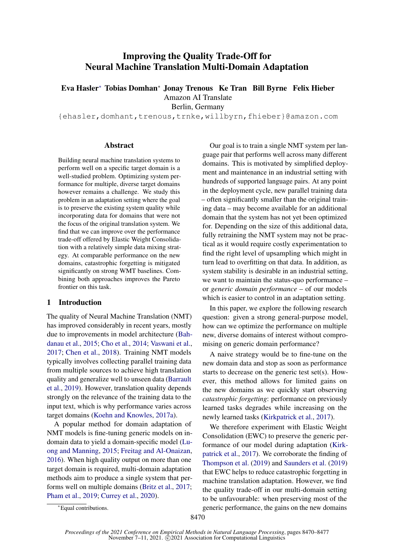# Improving the Quality Trade-Off for Neural Machine Translation Multi-Domain Adaptation

Eva Hasler<sup>∗</sup> Tobias Domhan<sup>∗</sup> Jonay Trenous Ke Tran Bill Byrne Felix Hieber

Amazon AI Translate

Berlin, Germany

{ehasler,domhant,trenous,trnke,willbyrn,fhieber}@amazon.com

## Abstract

Building neural machine translation systems to perform well on a specific target domain is a well-studied problem. Optimizing system performance for multiple, diverse target domains however remains a challenge. We study this problem in an adaptation setting where the goal is to preserve the existing system quality while incorporating data for domains that were not the focus of the original translation system. We find that we can improve over the performance trade-off offered by Elastic Weight Consolidation with a relatively simple data mixing strategy. At comparable performance on the new domains, catastrophic forgetting is mitigated significantly on strong WMT baselines. Combining both approaches improves the Pareto frontier on this task.

## 1 Introduction

The quality of Neural Machine Translation (NMT) has improved considerably in recent years, mostly due to improvements in model architecture [\(Bah](#page-5-0)[danau et al.,](#page-5-0) [2015;](#page-5-0) [Cho et al.,](#page-5-1) [2014;](#page-5-1) [Vaswani et al.,](#page-6-0) [2017;](#page-6-0) [Chen et al.,](#page-5-2) [2018\)](#page-5-2). Training NMT models typically involves collecting parallel training data from multiple sources to achieve high translation quality and generalize well to unseen data [\(Barrault](#page-5-3) [et al.,](#page-5-3) [2019\)](#page-5-3). However, translation quality depends strongly on the relevance of the training data to the input text, which is why performance varies across target domains [\(Koehn and Knowles,](#page-5-4) [2017a\)](#page-5-4).

A popular method for domain adaptation of NMT models is fine-tuning generic models on indomain data to yield a domain-specific model [\(Lu](#page-6-1)[ong and Manning,](#page-6-1) [2015;](#page-6-1) [Freitag and Al-Onaizan,](#page-5-5) [2016\)](#page-5-5). When high quality output on more than one target domain is required, multi-domain adaptation methods aim to produce a single system that performs well on multiple domains [\(Britz et al.,](#page-5-6) [2017;](#page-5-6) [Pham et al.,](#page-6-2) [2019;](#page-6-2) [Currey et al.,](#page-5-7) [2020\)](#page-5-7).

Our goal is to train a single NMT system per language pair that performs well across many different domains. This is motivated by simplified deployment and maintenance in an industrial setting with hundreds of supported language pairs. At any point in the deployment cycle, new parallel training data – often significantly smaller than the original training data – may become available for an additional domain that the system has not yet been optimized for. Depending on the size of this additional data, fully retraining the NMT system may not be practical as it would require costly experimentation to find the right level of upsampling which might in turn lead to overfitting on that data. In addition, as system stability is desirable in an industrial setting, we want to maintain the status-quo performance – or *generic domain performance* – of our models which is easier to control in an adaptation setting.

In this paper, we explore the following research question: given a strong general-purpose model, how can we optimize the performance on multiple new, diverse domains of interest without compromising on generic domain performance?

A naive strategy would be to fine-tune on the new domain data and stop as soon as performance starts to decrease on the generic test set(s). However, this method allows for limited gains on the new domains as we quickly start observing *catastrophic forgetting*: performance on previously learned tasks degrades while increasing on the newly learned tasks [\(Kirkpatrick et al.,](#page-5-8) [2017\)](#page-5-8).

We therefore experiment with Elastic Weight Consolidation (EWC) to preserve the generic performance of our model during adaptation [\(Kirk](#page-5-8)[patrick et al.,](#page-5-8) [2017\)](#page-5-8). We corroborate the finding of [Thompson et al.](#page-6-3) [\(2019\)](#page-6-3) and [Saunders et al.](#page-6-4) [\(2019\)](#page-6-4) that EWC helps to reduce catastrophic forgetting in machine translation adaptation. However, we find the quality trade-off in our multi-domain setting to be unfavourable: when preserving most of the generic performance, the gains on the new domains

<sup>∗</sup>Equal contributions.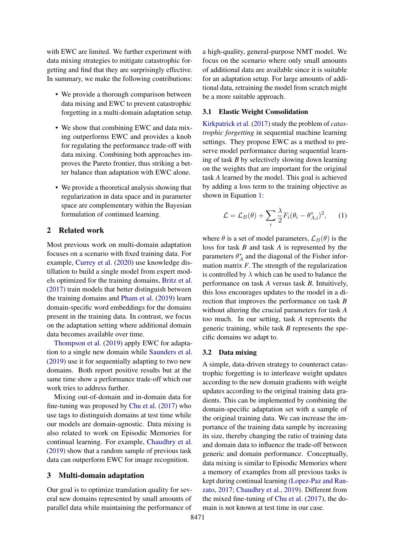with EWC are limited. We further experiment with data mixing strategies to mitigate catastrophic forgetting and find that they are surprisingly effective. In summary, we make the following contributions:

- We provide a thorough comparison between data mixing and EWC to prevent catastrophic forgetting in a multi-domain adaptation setup.
- We show that combining EWC and data mixing outperforms EWC and provides a knob for regulating the performance trade-off with data mixing. Combining both approaches improves the Pareto frontier, thus striking a better balance than adaptation with EWC alone.
- We provide a theoretical analysis showing that regularization in data space and in parameter space are complementary within the Bayesian formulation of continued learning.

# 2 Related work

Most previous work on multi-domain adaptation focuses on a scenario with fixed training data. For example, [Currey et al.](#page-5-7) [\(2020\)](#page-5-7) use knowledge distillation to build a single model from expert models optimized for the training domains, [Britz et al.](#page-5-6) [\(2017\)](#page-5-6) train models that better distinguish between the training domains and [Pham et al.](#page-6-2) [\(2019\)](#page-6-2) learn domain-specific word embeddings for the domains present in the training data. In contrast, we focus on the adaptation setting where additional domain data becomes available over time.

[Thompson et al.](#page-6-3) [\(2019\)](#page-6-3) apply EWC for adaptation to a single new domain while [Saunders et al.](#page-6-4) [\(2019\)](#page-6-4) use it for sequentially adapting to two new domains. Both report positive results but at the same time show a performance trade-off which our work tries to address further.

Mixing out-of-domain and in-domain data for fine-tuning was proposed by [Chu et al.](#page-5-9) [\(2017\)](#page-5-9) who use tags to distinguish domains at test time while our models are domain-agnostic. Data mixing is also related to work on Episodic Memories for continual learning. For example, [Chaudhry et al.](#page-5-10) [\(2019\)](#page-5-10) show that a random sample of previous task data can outperform EWC for image recognition.

#### 3 Multi-domain adaptation

Our goal is to optimize translation quality for several new domains represented by small amounts of parallel data while maintaining the performance of

a high-quality, general-purpose NMT model. We focus on the scenario where only small amounts of additional data are available since it is suitable for an adaptation setup. For large amounts of additional data, retraining the model from scratch might be a more suitable approach.

# 3.1 Elastic Weight Consolidation

[Kirkpatrick et al.](#page-5-8) [\(2017\)](#page-5-8) study the problem of *catastrophic forgetting* in sequential machine learning settings. They propose EWC as a method to preserve model performance during sequential learning of task *B* by selectively slowing down learning on the weights that are important for the original task *A* learned by the model. This goal is achieved by adding a loss term to the training objective as shown in Equation [1:](#page-1-0)

<span id="page-1-0"></span>
$$
\mathcal{L} = \mathcal{L}_B(\theta) + \sum_i \frac{\lambda}{2} F_i (\theta_i - \theta_{A,i}^*)^2, \qquad (1)
$$

where  $\theta$  is a set of model parameters,  $\mathcal{L}_B(\theta)$  is the loss for task *B* and task *A* is represented by the parameters  $\theta_A^*$  and the diagonal of the Fisher information matrix *F*. The strength of the regularization is controlled by  $\lambda$  which can be used to balance the performance on task *A* versus task *B*. Intuitively, this loss encourages updates to the model in a direction that improves the performance on task *B* without altering the crucial parameters for task *A* too much. In our setting, task *A* represents the generic training, while task *B* represents the specific domains we adapt to.

#### 3.2 Data mixing

A simple, data-driven strategy to counteract catastrophic forgetting is to interleave weight updates according to the new domain gradients with weight updates according to the original training data gradients. This can be implemented by combining the domain-specific adaptation set with a sample of the original training data. We can increase the importance of the training data sample by increasing its size, thereby changing the ratio of training data and domain data to influence the trade-off between generic and domain performance. Conceptually, data mixing is similar to Episodic Memories where a memory of examples from all previous tasks is kept during continual learning [\(Lopez-Paz and Ran](#page-5-11)[zato,](#page-5-11) [2017;](#page-5-11) [Chaudhry et al.,](#page-5-10) [2019\)](#page-5-10). Different from the mixed fine-tuning of [Chu et al.](#page-5-9) [\(2017\)](#page-5-9), the domain is not known at test time in our case.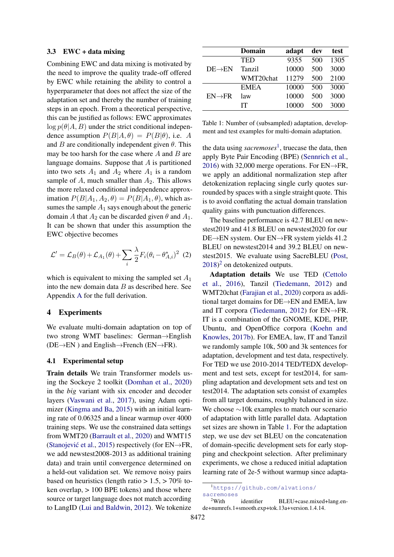#### 3.3 EWC + data mixing

Combining EWC and data mixing is motivated by the need to improve the quality trade-off offered by EWC while retaining the ability to control a hyperparameter that does not affect the size of the adaptation set and thereby the number of training steps in an epoch. From a theoretical perspective, this can be justified as follows: EWC approximates  $\log p(\theta|A, B)$  under the strict conditional independence assumption  $P(B|A,\theta) = P(B|\theta)$ , i.e. A and B are conditionally independent given  $\theta$ . This may be too harsh for the case where  $A$  and  $B$  are language domains. Suppose that A is partitioned into two sets  $A_1$  and  $A_2$  where  $A_1$  is a random sample of  $A$ , much smaller than  $A_2$ . This allows the more relaxed conditional independence approximation  $P(B|A_1, A_2, \theta) = P(B|A_1, \theta)$ , which assumes the sample  $A_1$  says enough about the generic domain A that  $A_2$  can be discarded given  $\theta$  and  $A_1$ . It can be shown that under this assumption the EWC objective becomes

$$
\mathcal{L}' = \mathcal{L}_B(\theta) + \mathcal{L}_{A_1}(\theta) + \sum_i \frac{\lambda}{2} F_i (\theta_i - \theta_{A,i}^*)^2
$$
 (2)

which is equivalent to mixing the sampled set  $A_1$ into the new domain data  $B$  as described here. See Appendix [A](#page-7-0) for the full derivation.

#### 4 Experiments

We evaluate multi-domain adaptation on top of two strong WMT baselines: German→English  $(DE \rightarrow EN)$  and English $\rightarrow$ French (EN $\rightarrow$ FR).

#### 4.1 Experimental setup

Train details We train Transformer models using the Sockeye 2 toolkit [\(Domhan et al.,](#page-5-12) [2020\)](#page-5-12) in the *big* variant with six encoder and decoder layers [\(Vaswani et al.,](#page-6-0) [2017\)](#page-6-0), using Adam optimizer [\(Kingma and Ba,](#page-5-13) [2015\)](#page-5-13) with an initial learning rate of 0.06325 and a linear warmup over 4000 training steps. We use the constrained data settings from WMT20 [\(Barrault et al.,](#page-5-14) [2020\)](#page-5-14) and WMT15 (Stanojević et al., [2015\)](#page-6-5) respectively (for EN $\rightarrow$ FR, we add newstest2008-2013 as additional training data) and train until convergence determined on a held-out validation set. We remove noisy pairs based on heuristics (length ratio  $> 1.5$ ,  $> 70\%$  token overlap,  $> 100$  BPE tokens) and those where source or target language does not match according to LangID [\(Lui and Baldwin,](#page-6-6) [2012\)](#page-6-6). We tokenize

<span id="page-2-2"></span>

|                     | <b>Domain</b> | adapt | dev | test |
|---------------------|---------------|-------|-----|------|
| $DE \rightarrow EN$ | <b>TED</b>    | 9355  | 500 | 1305 |
|                     | Tanzil        | 10000 | 500 | 3000 |
|                     | WMT20chat     | 11279 | 500 | 2100 |
| $EN \rightarrow FR$ | <b>EMEA</b>   | 10000 | 500 | 3000 |
|                     | law           | 10000 | 500 | 3000 |
|                     | IТ            | 10000 | 500 | 3000 |

Table 1: Number of (subsampled) adaptation, development and test examples for multi-domain adaptation.

the data using *sacremoses*[1](#page-2-0) , truecase the data, then apply Byte Pair Encoding (BPE) [\(Sennrich et al.,](#page-6-7) [2016\)](#page-6-7) with 32,000 merge operations. For  $EN \rightarrow FR$ , we apply an additional normalization step after detokenization replacing single curly quotes surrounded by spaces with a single straight quote. This is to avoid conflating the actual domain translation quality gains with punctuation differences.

The baseline performance is 42.7 BLEU on newstest2019 and 41.8 BLEU on newstest2020 for our DE→EN system. Our EN→FR system yields 41.2 BLEU on newstest2014 and 39.2 BLEU on newstest2015. We evaluate using SacreBLEU [\(Post,](#page-6-8)  $2018$  $2018$ <sup>2</sup> on detokenized outputs.

Adaptation details We use TED [\(Cettolo](#page-5-15) [et al.,](#page-5-15) [2016\)](#page-5-15), Tanzil [\(Tiedemann,](#page-6-9) [2012\)](#page-6-9) and WMT20chat [\(Farajian et al.,](#page-5-16) [2020\)](#page-5-16) corpora as additional target domains for DE→EN and EMEA, law and IT corpora [\(Tiedemann,](#page-6-9) [2012\)](#page-6-9) for EN→FR. IT is a combination of the GNOME, KDE, PHP, Ubuntu, and OpenOffice corpora [\(Koehn and](#page-5-17) [Knowles,](#page-5-17) [2017b\)](#page-5-17). For EMEA, law, IT and Tanzil we randomly sample 10k, 500 and 3k sentences for adaptation, development and test data, respectively. For TED we use 2010-2014 TED/TEDX development and test sets, except for test2014, for sampling adaptation and development sets and test on test2014. The adaptation sets consist of examples from all target domains, roughly balanced in size. We choose ∼10k examples to match our scenario of adaptation with little parallel data. Adaptation set sizes are shown in Table [1.](#page-2-2) For the adaptation step, we use dev set BLEU on the concatenation of domain-specific development sets for early stopping and checkpoint selection. After preliminary experiments, we chose a reduced initial adaptation learning rate of 2e-5 without warmup since adapta-

<span id="page-2-0"></span><sup>1</sup>[https://github.com/alvations/](https://github.com/alvations/sacremoses)

<span id="page-2-1"></span>[sacremoses](https://github.com/alvations/sacremoses)<br><sup>2</sup>With identifier BLEU+case.mixed+lang.ende+numrefs.1+smooth.exp+tok.13a+version.1.4.14.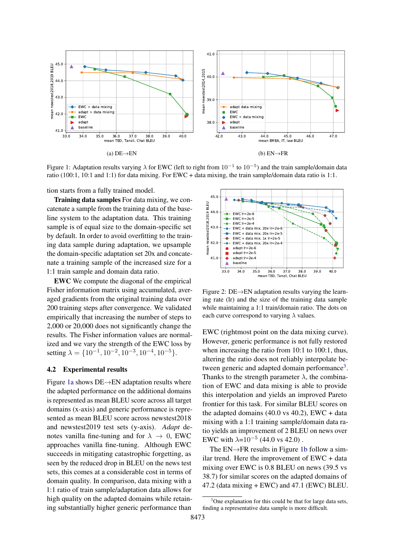<span id="page-3-0"></span>

Figure 1: Adaptation results varying  $\lambda$  for EWC (left to right from  $10^{-1}$  to  $10^{-5}$ ) and the train sample/domain data ratio (100:1, 10:1 and 1:1) for data mixing. For EWC + data mixing, the train sample/domain data ratio is 1:1.

tion starts from a fully trained model.

Training data samples For data mixing, we concatenate a sample from the training data of the baseline system to the adaptation data. This training sample is of equal size to the domain-specific set by default. In order to avoid overfitting to the training data sample during adaptation, we upsample the domain-specific adaptation set 20x and concatenate a training sample of the increased size for a 1:1 train sample and domain data ratio.

EWC We compute the diagonal of the empirical Fisher information matrix using accumulated, averaged gradients from the original training data over 200 training steps after convergence. We validated empirically that increasing the number of steps to 2,000 or 20,000 does not significantly change the results. The Fisher information values are normalized and we vary the strength of the EWC loss by setting  $\lambda = \{10^{-1}, 10^{-2}, 10^{-3}, 10^{-4}, 10^{-5}\}.$ 

#### 4.2 Experimental results

Figure [1a](#page-3-0) shows DE→EN adaptation results where the adapted performance on the additional domains is represented as mean BLEU score across all target domains (x-axis) and generic performance is represented as mean BLEU score across newstest2018 and newstest2019 test sets (y-axis). *Adapt* denotes vanilla fine-tuning and for  $\lambda \to 0$ , EWC approaches vanilla fine-tuning. Although EWC succeeds in mitigating catastrophic forgetting, as seen by the reduced drop in BLEU on the news test sets, this comes at a considerable cost in terms of domain quality. In comparison, data mixing with a 1:1 ratio of train sample/adaptation data allows for high quality on the adapted domains while retaining substantially higher generic performance than

<span id="page-3-2"></span>

Figure 2: DE→EN adaptation results varying the learning rate (lr) and the size of the training data sample while maintaining a 1:1 train/domain ratio. The dots on each curve correspond to varying  $\lambda$  values.

EWC (rightmost point on the data mixing curve). However, generic performance is not fully restored when increasing the ratio from 10:1 to 100:1, thus, altering the ratio does not reliably interpolate be-tween generic and adapted domain performance<sup>[3](#page-3-1)</sup>. Thanks to the strength parameter  $\lambda$ , the combination of EWC and data mixing is able to provide this interpolation and yields an improved Pareto frontier for this task. For similar BLEU scores on the adapted domains  $(40.0 \text{ vs } 40.2)$ , EWC + data mixing with a 1:1 training sample/domain data ratio yields an improvement of 2 BLEU on news over EWC with  $\lambda$ =10<sup>-5</sup> (44.0 vs 42.0).

The EN→FR results in Figure [1b](#page-3-0) follow a similar trend. Here the improvement of EWC + data mixing over EWC is 0.8 BLEU on news (39.5 vs 38.7) for similar scores on the adapted domains of 47.2 (data mixing + EWC) and 47.1 (EWC) BLEU.

<span id="page-3-1"></span> $3^3$ One explanation for this could be that for large data sets, finding a representative data sample is more difficult.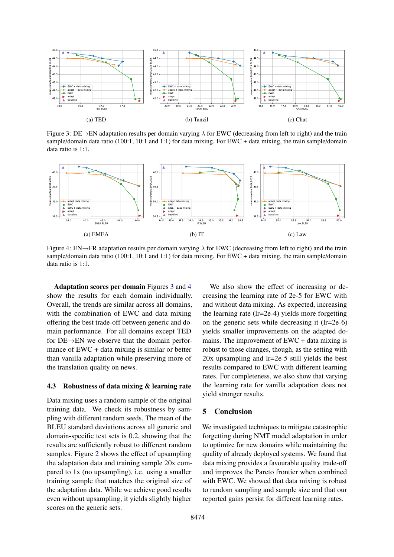<span id="page-4-0"></span>

Figure 3: DE→EN adaptation results per domain varying  $\lambda$  for EWC (decreasing from left to right) and the train sample/domain data ratio (100:1, 10:1 and 1:1) for data mixing. For EWC + data mixing, the train sample/domain data ratio is 1:1.

<span id="page-4-1"></span>

Figure 4: EN→FR adaptation results per domain varying  $\lambda$  for EWC (decreasing from left to right) and the train sample/domain data ratio (100:1, 10:1 and 1:1) for data mixing. For EWC + data mixing, the train sample/domain data ratio is 1:1.

Adaptation scores per domain Figures [3](#page-4-0) and [4](#page-4-1) show the results for each domain individually. Overall, the trends are similar across all domains, with the combination of EWC and data mixing offering the best trade-off between generic and domain performance. For all domains except TED for DE→EN we observe that the domain performance of EWC + data mixing is similar or better than vanilla adaptation while preserving more of the translation quality on news.

#### 4.3 Robustness of data mixing & learning rate

Data mixing uses a random sample of the original training data. We check its robustness by sampling with different random seeds. The mean of the BLEU standard deviations across all generic and domain-specific test sets is 0.2, showing that the results are sufficiently robust to different random samples. Figure [2](#page-3-2) shows the effect of upsampling the adaptation data and training sample 20x compared to 1x (no upsampling), i.e. using a smaller training sample that matches the original size of the adaptation data. While we achieve good results even without upsampling, it yields slightly higher scores on the generic sets.

We also show the effect of increasing or decreasing the learning rate of 2e-5 for EWC with and without data mixing. As expected, increasing the learning rate (lr=2e-4) yields more forgetting on the generic sets while decreasing it (lr=2e-6) yields smaller improvements on the adapted domains. The improvement of EWC + data mixing is robust to those changes, though, as the setting with 20x upsampling and lr=2e-5 still yields the best results compared to EWC with different learning rates. For completeness, we also show that varying the learning rate for vanilla adaptation does not yield stronger results.

# 5 Conclusion

We investigated techniques to mitigate catastrophic forgetting during NMT model adaptation in order to optimize for new domains while maintaining the quality of already deployed systems. We found that data mixing provides a favourable quality trade-off and improves the Pareto frontier when combined with EWC. We showed that data mixing is robust to random sampling and sample size and that our reported gains persist for different learning rates.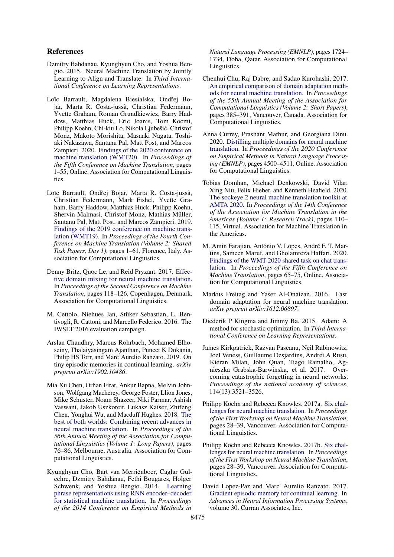#### References

- <span id="page-5-0"></span>Dzmitry Bahdanau, Kyunghyun Cho, and Yoshua Bengio. 2015. Neural Machine Translation by Jointly Learning to Align and Translate. In *Third International Conference on Learning Representations*.
- <span id="page-5-14"></span>Loïc Barrault, Magdalena Biesialska, Ondřej Bojar, Marta R. Costa-jussà, Christian Federmann, Yvette Graham, Roman Grundkiewicz, Barry Haddow, Matthias Huck, Eric Joanis, Tom Kocmi, Philipp Koehn, Chi-kiu Lo, Nikola Ljubešic, Christof ´ Monz, Makoto Morishita, Masaaki Nagata, Toshiaki Nakazawa, Santanu Pal, Matt Post, and Marcos Zampieri. 2020. [Findings of the 2020 conference on](https://www.aclweb.org/anthology/2020.wmt-1.1) [machine translation \(WMT20\).](https://www.aclweb.org/anthology/2020.wmt-1.1) In *Proceedings of the Fifth Conference on Machine Translation*, pages 1–55, Online. Association for Computational Linguistics.
- <span id="page-5-3"></span>Loïc Barrault, Ondřej Bojar, Marta R. Costa-jussà, Christian Federmann, Mark Fishel, Yvette Graham, Barry Haddow, Matthias Huck, Philipp Koehn, Shervin Malmasi, Christof Monz, Mathias Müller, Santanu Pal, Matt Post, and Marcos Zampieri. 2019. [Findings of the 2019 conference on machine trans](https://doi.org/10.18653/v1/W19-5301)[lation \(WMT19\).](https://doi.org/10.18653/v1/W19-5301) In *Proceedings of the Fourth Conference on Machine Translation (Volume 2: Shared Task Papers, Day 1)*, pages 1–61, Florence, Italy. Association for Computational Linguistics.
- <span id="page-5-6"></span>Denny Britz, Quoc Le, and Reid Pryzant. 2017. [Effec](https://doi.org/10.18653/v1/W17-4712)[tive domain mixing for neural machine translation.](https://doi.org/10.18653/v1/W17-4712) In *Proceedings of the Second Conference on Machine Translation*, pages 118–126, Copenhagen, Denmark. Association for Computational Linguistics.
- <span id="page-5-15"></span>M. Cettolo, Niehues Jan, Stüker Sebastian, L. Bentivogli, R. Cattoni, and Marcello Federico. 2016. The IWSLT 2016 evaluation campaign.
- <span id="page-5-10"></span>Arslan Chaudhry, Marcus Rohrbach, Mohamed Elhoseiny, Thalaiyasingam Ajanthan, Puneet K Dokania, Philip HS Torr, and Marc'Aurelio Ranzato. 2019. On tiny episodic memories in continual learning. *arXiv preprint arXiv:1902.10486*.
- <span id="page-5-2"></span>Mia Xu Chen, Orhan Firat, Ankur Bapna, Melvin Johnson, Wolfgang Macherey, George Foster, Llion Jones, Mike Schuster, Noam Shazeer, Niki Parmar, Ashish Vaswani, Jakob Uszkoreit, Lukasz Kaiser, Zhifeng Chen, Yonghui Wu, and Macduff Hughes. 2018. [The](https://doi.org/10.18653/v1/P18-1008) [best of both worlds: Combining recent advances in](https://doi.org/10.18653/v1/P18-1008) [neural machine translation.](https://doi.org/10.18653/v1/P18-1008) In *Proceedings of the 56th Annual Meeting of the Association for Computational Linguistics (Volume 1: Long Papers)*, pages 76–86, Melbourne, Australia. Association for Computational Linguistics.
- <span id="page-5-1"></span>Kyunghyun Cho, Bart van Merriënboer, Caglar Gulcehre, Dzmitry Bahdanau, Fethi Bougares, Holger Schwenk, and Yoshua Bengio. 2014. [Learning](https://doi.org/10.3115/v1/D14-1179) [phrase representations using RNN encoder–decoder](https://doi.org/10.3115/v1/D14-1179) [for statistical machine translation.](https://doi.org/10.3115/v1/D14-1179) In *Proceedings of the 2014 Conference on Empirical Methods in*

*Natural Language Processing (EMNLP)*, pages 1724– 1734, Doha, Qatar. Association for Computational Linguistics.

- <span id="page-5-9"></span>Chenhui Chu, Raj Dabre, and Sadao Kurohashi. 2017. [An empirical comparison of domain adaptation meth](https://doi.org/10.18653/v1/P17-2061)[ods for neural machine translation.](https://doi.org/10.18653/v1/P17-2061) In *Proceedings of the 55th Annual Meeting of the Association for Computational Linguistics (Volume 2: Short Papers)*, pages 385–391, Vancouver, Canada. Association for Computational Linguistics.
- <span id="page-5-7"></span>Anna Currey, Prashant Mathur, and Georgiana Dinu. 2020. [Distilling multiple domains for neural machine](https://doi.org/10.18653/v1/2020.emnlp-main.364) [translation.](https://doi.org/10.18653/v1/2020.emnlp-main.364) In *Proceedings of the 2020 Conference on Empirical Methods in Natural Language Processing (EMNLP)*, pages 4500–4511, Online. Association for Computational Linguistics.
- <span id="page-5-12"></span>Tobias Domhan, Michael Denkowski, David Vilar, Xing Niu, Felix Hieber, and Kenneth Heafield. 2020. [The sockeye 2 neural machine translation toolkit at](https://aclanthology.org/2020.amta-research.10) [AMTA 2020.](https://aclanthology.org/2020.amta-research.10) In *Proceedings of the 14th Conference of the Association for Machine Translation in the Americas (Volume 1: Research Track)*, pages 110– 115, Virtual. Association for Machine Translation in the Americas.
- <span id="page-5-16"></span>M. Amin Farajian, António V. Lopes, André F. T. Martins, Sameen Maruf, and Gholamreza Haffari. 2020. [Findings of the WMT 2020 shared task on chat trans](https://aclanthology.org/2020.wmt-1.3)[lation.](https://aclanthology.org/2020.wmt-1.3) In *Proceedings of the Fifth Conference on Machine Translation*, pages 65–75, Online. Association for Computational Linguistics.
- <span id="page-5-5"></span>Markus Freitag and Yaser Al-Onaizan. 2016. Fast domain adaptation for neural machine translation. *arXiv preprint arXiv:1612.06897*.
- <span id="page-5-13"></span>Diederik P Kingma and Jimmy Ba. 2015. Adam: A method for stochastic optimization. In *Third International Conference on Learning Representations*.
- <span id="page-5-8"></span>James Kirkpatrick, Razvan Pascanu, Neil Rabinowitz, Joel Veness, Guillaume Desjardins, Andrei A Rusu, Kieran Milan, John Quan, Tiago Ramalho, Agnieszka Grabska-Barwinska, et al. 2017. Overcoming catastrophic forgetting in neural networks. *Proceedings of the national academy of sciences*, 114(13):3521–3526.
- <span id="page-5-4"></span>Philipp Koehn and Rebecca Knowles. 2017a. [Six chal](https://doi.org/10.18653/v1/W17-3204)[lenges for neural machine translation.](https://doi.org/10.18653/v1/W17-3204) In *Proceedings of the First Workshop on Neural Machine Translation*, pages 28–39, Vancouver. Association for Computational Linguistics.
- <span id="page-5-17"></span>Philipp Koehn and Rebecca Knowles. 2017b. [Six chal](https://doi.org/10.18653/v1/W17-3204)[lenges for neural machine translation.](https://doi.org/10.18653/v1/W17-3204) In *Proceedings of the First Workshop on Neural Machine Translation*, pages 28–39, Vancouver. Association for Computational Linguistics.
- <span id="page-5-11"></span>David Lopez-Paz and Marc' Aurelio Ranzato. 2017. [Gradient episodic memory for continual learning.](https://proceedings.neurips.cc/paper/2017/file/f87522788a2be2d171666752f97ddebb-Paper.pdf) In *Advances in Neural Information Processing Systems*, volume 30. Curran Associates, Inc.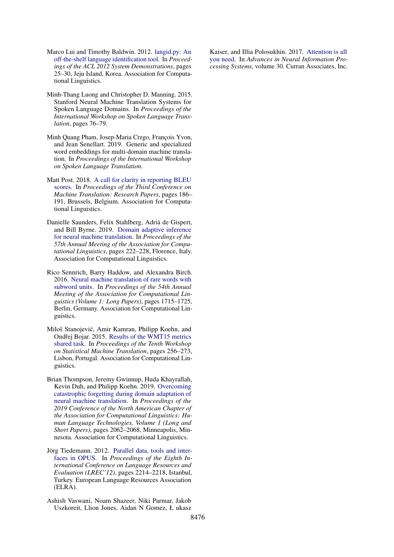- <span id="page-6-6"></span>Marco Lui and Timothy Baldwin. 2012. [langid.py: An](https://aclanthology.org/P12-3005) [off-the-shelf language identification tool.](https://aclanthology.org/P12-3005) In *Proceedings of the ACL 2012 System Demonstrations*, pages 25–30, Jeju Island, Korea. Association for Computational Linguistics.
- <span id="page-6-1"></span>Minh-Thang Luong and Christopher D. Manning. 2015. Stanford Neural Machine Translation Systems for Spoken Language Domains. In *Proceedings of the International Workshop on Spoken Language Translation*, pages 76–79.
- <span id="page-6-2"></span>Minh Quang Pham, Josep-Maria Crego, François Yvon, and Jean Senellart. 2019. Generic and specialized word embeddings for multi-domain machine translation. In *Proceedings of the International Workshop on Spoken Language Translation*.
- <span id="page-6-8"></span>Matt Post. 2018. [A call for clarity in reporting BLEU](https://doi.org/10.18653/v1/W18-6319) [scores.](https://doi.org/10.18653/v1/W18-6319) In *Proceedings of the Third Conference on Machine Translation: Research Papers*, pages 186– 191, Brussels, Belgium. Association for Computational Linguistics.
- <span id="page-6-4"></span>Danielle Saunders, Felix Stahlberg, Adrià de Gispert, and Bill Byrne. 2019. [Domain adaptive inference](https://doi.org/10.18653/v1/P19-1022) [for neural machine translation.](https://doi.org/10.18653/v1/P19-1022) In *Proceedings of the 57th Annual Meeting of the Association for Computational Linguistics*, pages 222–228, Florence, Italy. Association for Computational Linguistics.
- <span id="page-6-7"></span>Rico Sennrich, Barry Haddow, and Alexandra Birch. 2016. [Neural machine translation of rare words with](https://doi.org/10.18653/v1/P16-1162) [subword units.](https://doi.org/10.18653/v1/P16-1162) In *Proceedings of the 54th Annual Meeting of the Association for Computational Linguistics (Volume 1: Long Papers)*, pages 1715–1725, Berlin, Germany. Association for Computational Linguistics.
- <span id="page-6-5"></span>Miloš Stanojevic, Amir Kamran, Philipp Koehn, and ´ Ondřej Bojar. 2015. [Results of the WMT15 metrics](https://doi.org/10.18653/v1/W15-3031) [shared task.](https://doi.org/10.18653/v1/W15-3031) In *Proceedings of the Tenth Workshop on Statistical Machine Translation*, pages 256–273, Lisbon, Portugal. Association for Computational Linguistics.
- <span id="page-6-3"></span>Brian Thompson, Jeremy Gwinnup, Huda Khayrallah, Kevin Duh, and Philipp Koehn. 2019. [Overcoming](https://doi.org/10.18653/v1/N19-1209) [catastrophic forgetting during domain adaptation of](https://doi.org/10.18653/v1/N19-1209) [neural machine translation.](https://doi.org/10.18653/v1/N19-1209) In *Proceedings of the 2019 Conference of the North American Chapter of the Association for Computational Linguistics: Human Language Technologies, Volume 1 (Long and Short Papers)*, pages 2062–2068, Minneapolis, Minnesota. Association for Computational Linguistics.
- <span id="page-6-9"></span>Jörg Tiedemann. 2012. [Parallel data, tools and inter](http://www.lrec-conf.org/proceedings/lrec2012/pdf/463_Paper.pdf)[faces in OPUS.](http://www.lrec-conf.org/proceedings/lrec2012/pdf/463_Paper.pdf) In *Proceedings of the Eighth International Conference on Language Resources and Evaluation (LREC'12)*, pages 2214–2218, Istanbul, Turkey. European Language Resources Association (ELRA).
- <span id="page-6-0"></span>Ashish Vaswani, Noam Shazeer, Niki Parmar, Jakob Uszkoreit, Llion Jones, Aidan N Gomez, Ł ukasz

Kaiser, and Illia Polosukhin. 2017. [Attention is all](https://proceedings.neurips.cc/paper/2017/file/3f5ee243547dee91fbd053c1c4a845aa-Paper.pdf) [you need.](https://proceedings.neurips.cc/paper/2017/file/3f5ee243547dee91fbd053c1c4a845aa-Paper.pdf) In *Advances in Neural Information Processing Systems*, volume 30. Curran Associates, Inc.